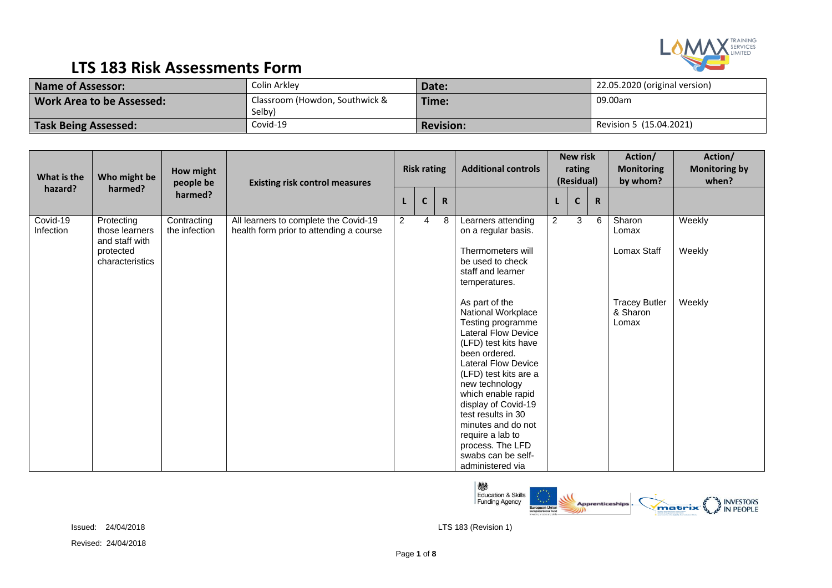

| <b>Name of Assessor:</b>         | Colin Arkley                             | Date:            | 22.05.2020 (original version) |
|----------------------------------|------------------------------------------|------------------|-------------------------------|
| <b>Work Area to be Assessed:</b> | Classroom (Howdon, Southwick &<br>Selby) | Time:            | 09.00am                       |
| <b>Task Being Assessed:</b>      | Covid-19                                 | <b>Revision:</b> | Revision 5 (15.04.2021)       |

| What is the           | Who might be                                   | How might<br>people be       | <b>Existing risk control measures</b>                                            |                | <b>Risk rating</b> |           | <b>Additional controls</b>                                                                                                                                                                                                                                                                                                                                                           |                | <b>New risk</b><br>rating<br>(Residual) | Action/<br><b>Monitoring</b><br>by whom?  | Action/<br><b>Monitoring by</b><br>when? |
|-----------------------|------------------------------------------------|------------------------------|----------------------------------------------------------------------------------|----------------|--------------------|-----------|--------------------------------------------------------------------------------------------------------------------------------------------------------------------------------------------------------------------------------------------------------------------------------------------------------------------------------------------------------------------------------------|----------------|-----------------------------------------|-------------------------------------------|------------------------------------------|
| hazard?               | harmed?                                        | harmed?                      |                                                                                  |                | $\mathsf{C}$       | ${\sf R}$ |                                                                                                                                                                                                                                                                                                                                                                                      |                | $\mathbf{C}$<br>$\mathsf{R}$            |                                           |                                          |
| Covid-19<br>Infection | Protecting<br>those learners<br>and staff with | Contracting<br>the infection | All learners to complete the Covid-19<br>health form prior to attending a course | $\overline{2}$ | $\overline{4}$     | 8         | Learners attending<br>on a regular basis.                                                                                                                                                                                                                                                                                                                                            | $\overline{2}$ | 3<br>6                                  | Sharon<br>Lomax                           | Weekly                                   |
|                       | protected<br>characteristics                   |                              |                                                                                  |                |                    |           | Thermometers will<br>be used to check<br>staff and learner<br>temperatures.                                                                                                                                                                                                                                                                                                          |                |                                         | Lomax Staff                               | Weekly                                   |
|                       |                                                |                              |                                                                                  |                |                    |           | As part of the<br>National Workplace<br>Testing programme<br><b>Lateral Flow Device</b><br>(LFD) test kits have<br>been ordered.<br><b>Lateral Flow Device</b><br>(LFD) test kits are a<br>new technology<br>which enable rapid<br>display of Covid-19<br>test results in 30<br>minutes and do not<br>require a lab to<br>process. The LFD<br>swabs can be self-<br>administered via |                |                                         | <b>Tracey Butler</b><br>& Sharon<br>Lomax | Weekly                                   |

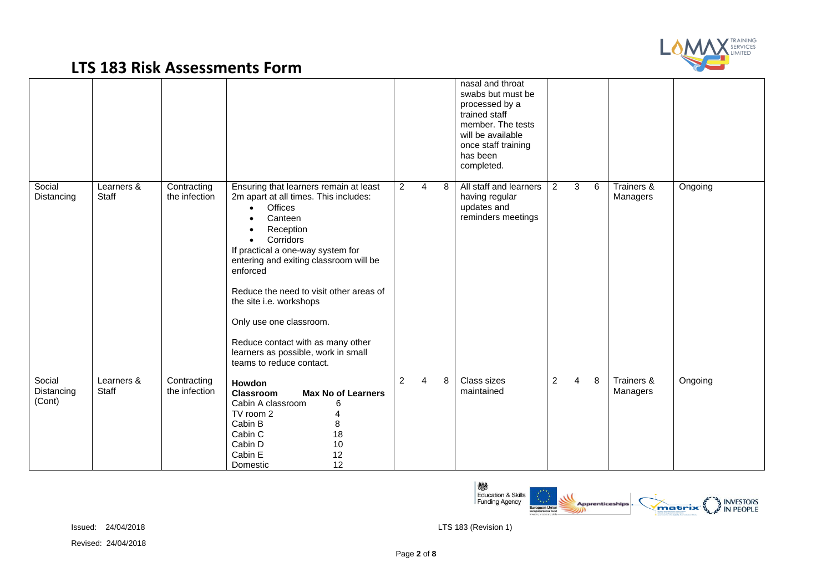

|                                |                     |                              |                                                                                                                                                                                                                                                                                                                                                                                                                                                  |                |                |   | nasal and throat<br>swabs but must be<br>processed by a<br>trained staff<br>member. The tests<br>will be available<br>once staff training<br>has been<br>completed. |   |                |   |                        |         |
|--------------------------------|---------------------|------------------------------|--------------------------------------------------------------------------------------------------------------------------------------------------------------------------------------------------------------------------------------------------------------------------------------------------------------------------------------------------------------------------------------------------------------------------------------------------|----------------|----------------|---|---------------------------------------------------------------------------------------------------------------------------------------------------------------------|---|----------------|---|------------------------|---------|
| Social<br>Distancing           | Learners &<br>Staff | Contracting<br>the infection | Ensuring that learners remain at least<br>2m apart at all times. This includes:<br>Offices<br>$\bullet$<br>Canteen<br>Reception<br>Corridors<br>If practical a one-way system for<br>entering and exiting classroom will be<br>enforced<br>Reduce the need to visit other areas of<br>the site i.e. workshops<br>Only use one classroom.<br>Reduce contact with as many other<br>learners as possible, work in small<br>teams to reduce contact. | $\overline{2}$ | $\overline{4}$ | 8 | All staff and learners<br>having regular<br>updates and<br>reminders meetings                                                                                       | 2 | 3              | 6 | Trainers &<br>Managers | Ongoing |
| Social<br>Distancing<br>(Cont) | Learners &<br>Staff | Contracting<br>the infection | <b>Howdon</b><br><b>Max No of Learners</b><br>Classroom<br>Cabin A classroom<br>6<br>TV room 2<br>Cabin B<br>8<br>18<br>Cabin C<br>$10$<br>Cabin D<br>Cabin E<br>12<br>12<br>Domestic                                                                                                                                                                                                                                                            | $\overline{c}$ | $\overline{4}$ | 8 | Class sizes<br>maintained                                                                                                                                           | 2 | $\overline{4}$ | 8 | Trainers &<br>Managers | Ongoing |



Issued: 24/04/2018 LTS 183 (Revision 1)

Revised: 24/04/2018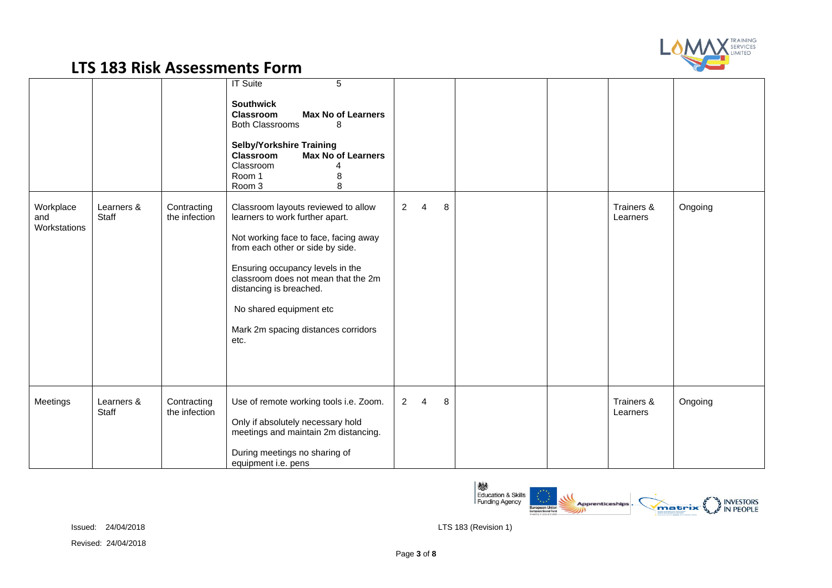

|                                  |                     |                              | <b>IT Suite</b><br>5<br><b>Southwick</b><br><b>Classroom</b><br><b>Max No of Learners</b><br><b>Both Classrooms</b><br>8<br><b>Selby/Yorkshire Training</b><br>Classroom<br><b>Max No of Learners</b><br>Classroom<br>Room 1<br>8<br>8<br>Room 3                                                                                    |                                  |   |                        |         |
|----------------------------------|---------------------|------------------------------|-------------------------------------------------------------------------------------------------------------------------------------------------------------------------------------------------------------------------------------------------------------------------------------------------------------------------------------|----------------------------------|---|------------------------|---------|
| Workplace<br>and<br>Workstations | Learners &<br>Staff | Contracting<br>the infection | Classroom layouts reviewed to allow<br>learners to work further apart.<br>Not working face to face, facing away<br>from each other or side by side.<br>Ensuring occupancy levels in the<br>classroom does not mean that the 2m<br>distancing is breached.<br>No shared equipment etc<br>Mark 2m spacing distances corridors<br>etc. | $\overline{2}$<br>$\overline{4}$ | 8 | Trainers &<br>Learners | Ongoing |
| Meetings                         | Learners &<br>Staff | Contracting<br>the infection | Use of remote working tools i.e. Zoom.<br>Only if absolutely necessary hold<br>meetings and maintain 2m distancing.<br>During meetings no sharing of<br>equipment i.e. pens                                                                                                                                                         | $\overline{2}$<br>$\overline{4}$ | 8 | Trainers &<br>Learners | Ongoing |

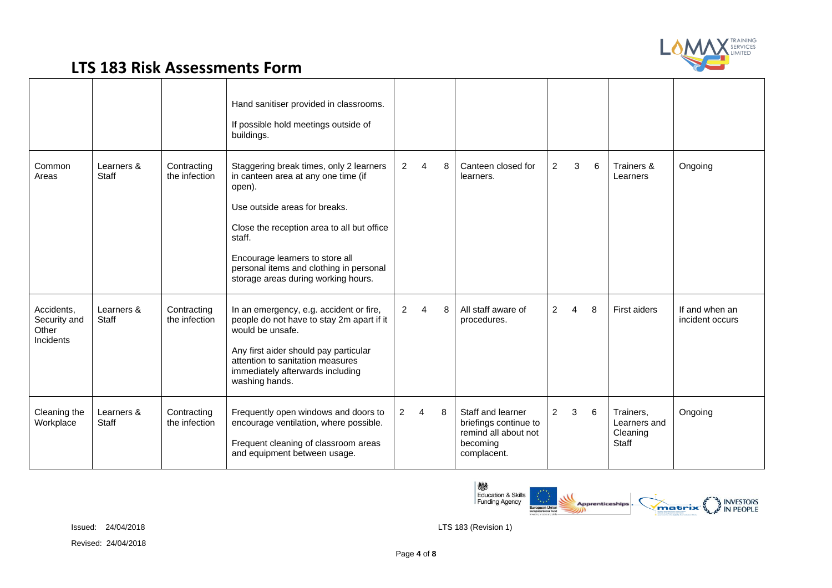

|                                                  |                     |                              | Hand sanitiser provided in classrooms.<br>If possible hold meetings outside of<br>buildings.                                                                                                                                                                                                           |                |                        |   |                                                                                               |                |   |   |                                                |                                   |
|--------------------------------------------------|---------------------|------------------------------|--------------------------------------------------------------------------------------------------------------------------------------------------------------------------------------------------------------------------------------------------------------------------------------------------------|----------------|------------------------|---|-----------------------------------------------------------------------------------------------|----------------|---|---|------------------------------------------------|-----------------------------------|
| Common<br>Areas                                  | Learners &<br>Staff | Contracting<br>the infection | Staggering break times, only 2 learners<br>in canteen area at any one time (if<br>open).<br>Use outside areas for breaks.<br>Close the reception area to all but office<br>staff.<br>Encourage learners to store all<br>personal items and clothing in personal<br>storage areas during working hours. | $\overline{2}$ | $\overline{4}$         | 8 | Canteen closed for<br>learners.                                                               | $\overline{c}$ | 3 | 6 | Trainers &<br>Learners                         | Ongoing                           |
| Accidents,<br>Security and<br>Other<br>Incidents | Learners &<br>Staff | Contracting<br>the infection | In an emergency, e.g. accident or fire,<br>people do not have to stay 2m apart if it<br>would be unsafe.<br>Any first aider should pay particular<br>attention to sanitation measures<br>immediately afterwards including<br>washing hands.                                                            | $\overline{2}$ | $\boldsymbol{\Lambda}$ | 8 | All staff aware of<br>procedures.                                                             | 2              | 4 | 8 | First aiders                                   | If and when an<br>incident occurs |
| Cleaning the<br>Workplace                        | Learners &<br>Staff | Contracting<br>the infection | Frequently open windows and doors to<br>encourage ventilation, where possible.<br>Frequent cleaning of classroom areas<br>and equipment between usage.                                                                                                                                                 | $\overline{2}$ | 4                      | 8 | Staff and learner<br>briefings continue to<br>remind all about not<br>becoming<br>complacent. | $\overline{2}$ | 3 | 6 | Trainers,<br>Learners and<br>Cleaning<br>Staff | Ongoing                           |

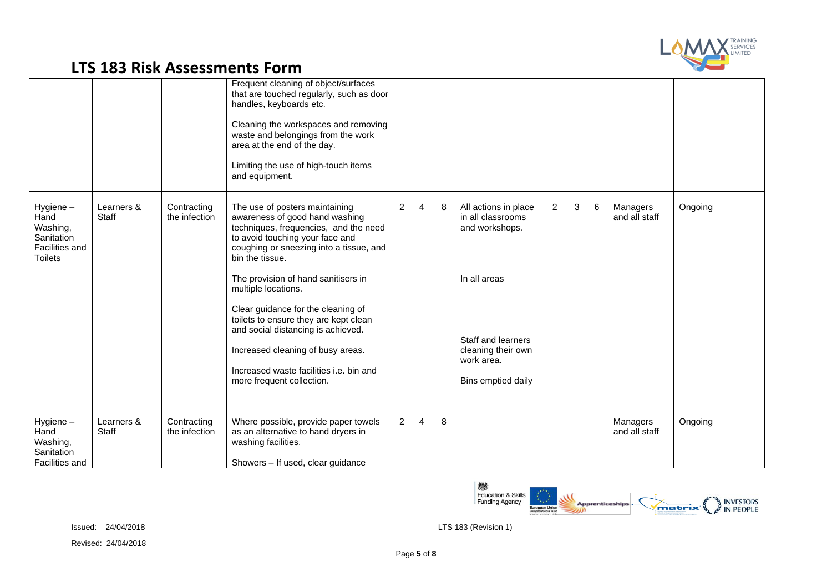

|                                                                                |                     |                              | Frequent cleaning of object/surfaces<br>that are touched regularly, such as door<br>handles, keyboards etc.<br>Cleaning the workspaces and removing<br>waste and belongings from the work<br>area at the end of the day.<br>Limiting the use of high-touch items<br>and equipment. |                |                |   |                                                                              |                |   |   |                           |         |
|--------------------------------------------------------------------------------|---------------------|------------------------------|------------------------------------------------------------------------------------------------------------------------------------------------------------------------------------------------------------------------------------------------------------------------------------|----------------|----------------|---|------------------------------------------------------------------------------|----------------|---|---|---------------------------|---------|
| Hygiene-<br>Hand<br>Washing,<br>Sanitation<br>Facilities and<br><b>Toilets</b> | Learners &<br>Staff | Contracting<br>the infection | The use of posters maintaining<br>awareness of good hand washing<br>techniques, frequencies, and the need<br>to avoid touching your face and<br>coughing or sneezing into a tissue, and<br>bin the tissue.                                                                         | $\overline{2}$ | $\overline{4}$ | 8 | All actions in place<br>in all classrooms<br>and workshops.                  | $\overline{2}$ | 3 | 6 | Managers<br>and all staff | Ongoing |
|                                                                                |                     |                              | The provision of hand sanitisers in<br>multiple locations.                                                                                                                                                                                                                         |                |                |   | In all areas                                                                 |                |   |   |                           |         |
|                                                                                |                     |                              | Clear guidance for the cleaning of<br>toilets to ensure they are kept clean<br>and social distancing is achieved.<br>Increased cleaning of busy areas.<br>Increased waste facilities i.e. bin and<br>more frequent collection.                                                     |                |                |   | Staff and learners<br>cleaning their own<br>work area.<br>Bins emptied daily |                |   |   |                           |         |
| Hygiene-<br>Hand<br>Washing,<br>Sanitation<br>Facilities and                   | Learners &<br>Staff | Contracting<br>the infection | Where possible, provide paper towels<br>as an alternative to hand dryers in<br>washing facilities.<br>Showers - If used, clear guidance                                                                                                                                            | $\overline{2}$ | 4              | 8 |                                                                              |                |   |   | Managers<br>and all staff | Ongoing |

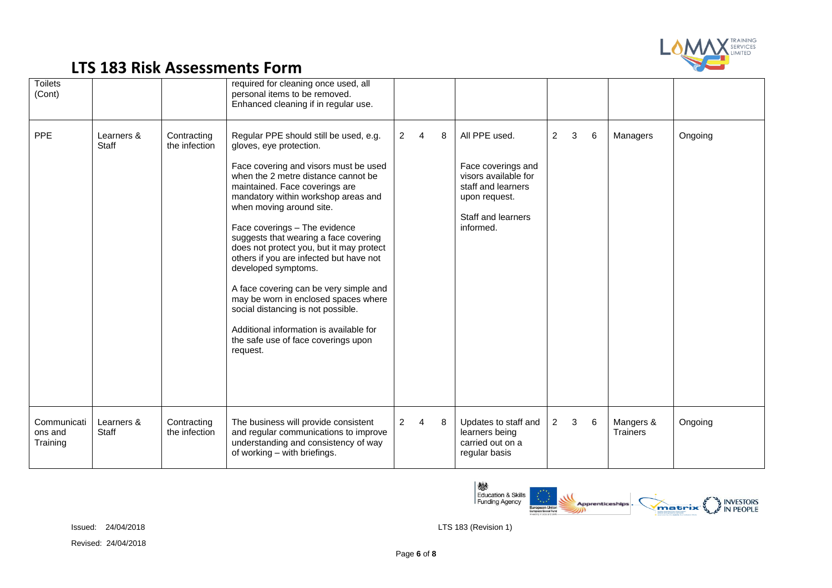

| <b>Toilets</b><br>(Cont)           |                     |                              | required for cleaning once used, all<br>personal items to be removed.<br>Enhanced cleaning if in regular use.                                                                                                                                                                                                                                                                                                                                                                                                                                                                                                                                                        |                |   |   |                                                                                                                                       |                |   |   |                       |         |
|------------------------------------|---------------------|------------------------------|----------------------------------------------------------------------------------------------------------------------------------------------------------------------------------------------------------------------------------------------------------------------------------------------------------------------------------------------------------------------------------------------------------------------------------------------------------------------------------------------------------------------------------------------------------------------------------------------------------------------------------------------------------------------|----------------|---|---|---------------------------------------------------------------------------------------------------------------------------------------|----------------|---|---|-----------------------|---------|
| <b>PPE</b>                         | Learners &<br>Staff | Contracting<br>the infection | Regular PPE should still be used, e.g.<br>gloves, eye protection.<br>Face covering and visors must be used<br>when the 2 metre distance cannot be<br>maintained. Face coverings are<br>mandatory within workshop areas and<br>when moving around site.<br>Face coverings - The evidence<br>suggests that wearing a face covering<br>does not protect you, but it may protect<br>others if you are infected but have not<br>developed symptoms.<br>A face covering can be very simple and<br>may be worn in enclosed spaces where<br>social distancing is not possible.<br>Additional information is available for<br>the safe use of face coverings upon<br>request. | $\overline{2}$ | 4 | 8 | All PPE used.<br>Face coverings and<br>visors available for<br>staff and learners<br>upon request.<br>Staff and learners<br>informed. | $\overline{2}$ | 3 | 6 | Managers              | Ongoing |
| Communicati<br>ons and<br>Training | Learners &<br>Staff | Contracting<br>the infection | The business will provide consistent<br>and regular communications to improve<br>understanding and consistency of way<br>of working - with briefings.                                                                                                                                                                                                                                                                                                                                                                                                                                                                                                                | $\overline{2}$ | 4 | 8 | Updates to staff and<br>learners being<br>carried out on a<br>regular basis                                                           | $\overline{c}$ | 3 | 6 | Mangers &<br>Trainers | Ongoing |

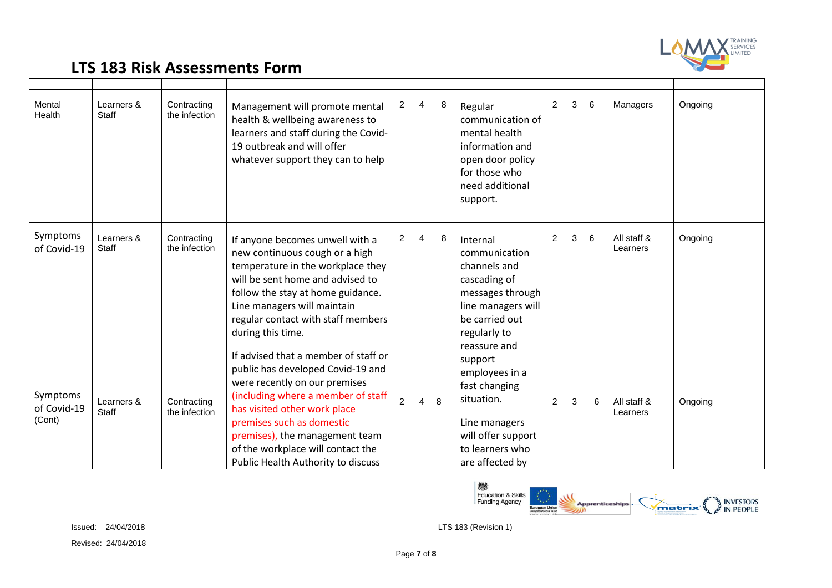

| Mental<br>Health                  | Learners &<br><b>Staff</b> | Contracting<br>the infection | Management will promote mental<br>health & wellbeing awareness to<br>learners and staff during the Covid-<br>19 outbreak and will offer<br>whatever support they can to help                                                                                                                                               | $\overline{2}$ | $\overline{4}$ | 8  | Regular<br>communication of<br>mental health<br>information and<br>open door policy<br>for those who<br>need additional<br>support.                   | $\overline{2}$ | 3 | 6 | Managers                | Ongoing |
|-----------------------------------|----------------------------|------------------------------|----------------------------------------------------------------------------------------------------------------------------------------------------------------------------------------------------------------------------------------------------------------------------------------------------------------------------|----------------|----------------|----|-------------------------------------------------------------------------------------------------------------------------------------------------------|----------------|---|---|-------------------------|---------|
| Symptoms<br>of Covid-19           | Learners &<br>Staff        | Contracting<br>the infection | If anyone becomes unwell with a<br>new continuous cough or a high<br>temperature in the workplace they<br>will be sent home and advised to<br>follow the stay at home guidance.<br>Line managers will maintain<br>regular contact with staff members<br>during this time.                                                  | $\overline{2}$ | 4              | 8  | Internal<br>communication<br>channels and<br>cascading of<br>messages through<br>line managers will<br>be carried out<br>regularly to<br>reassure and | 2              | 3 | 6 | All staff &<br>Learners | Ongoing |
| Symptoms<br>of Covid-19<br>(Cont) | Learners &<br>Staff        | Contracting<br>the infection | If advised that a member of staff or<br>public has developed Covid-19 and<br>were recently on our premises<br>(including where a member of staff<br>has visited other work place<br>premises such as domestic<br>premises), the management team<br>of the workplace will contact the<br>Public Health Authority to discuss | $\overline{2}$ | 4              | -8 | support<br>employees in a<br>fast changing<br>situation.<br>Line managers<br>will offer support<br>to learners who<br>are affected by                 | $\overline{2}$ | 3 | 6 | All staff &<br>Learners | Ongoing |